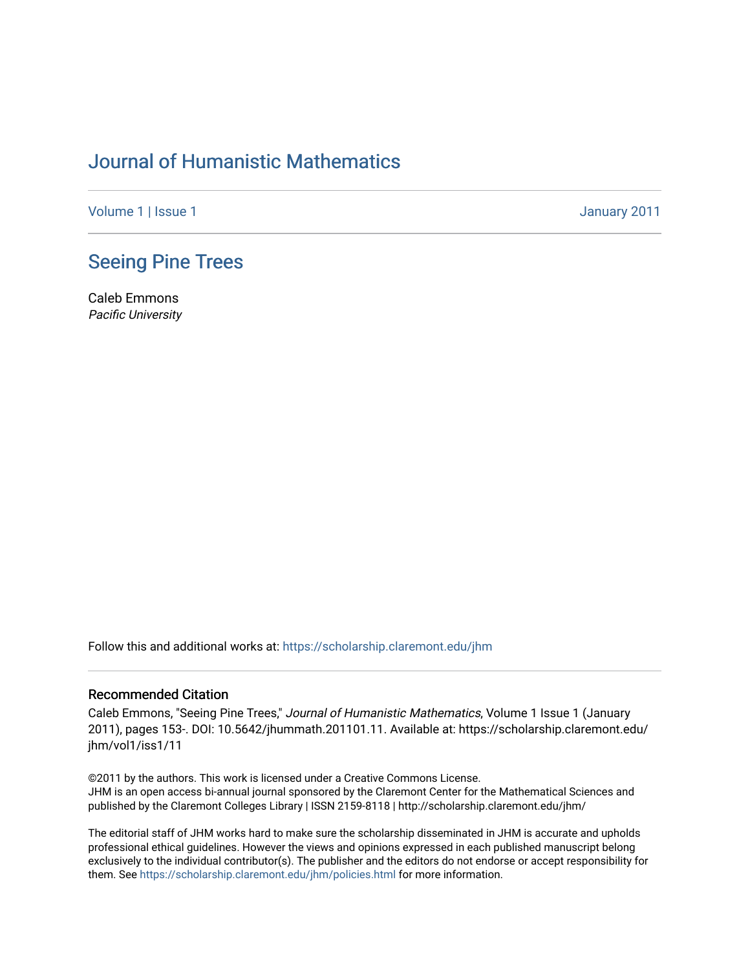## [Journal of Humanistic Mathematics](https://scholarship.claremont.edu/jhm)

[Volume 1](https://scholarship.claremont.edu/jhm/vol1) | [Issue 1](https://scholarship.claremont.edu/jhm/vol1/iss1) January 2011

### [Seeing Pine Trees](https://scholarship.claremont.edu/jhm/vol1/iss1/11)

Caleb Emmons Pacific University

Follow this and additional works at: [https://scholarship.claremont.edu/jhm](https://scholarship.claremont.edu/jhm?utm_source=scholarship.claremont.edu%2Fjhm%2Fvol1%2Fiss1%2F11&utm_medium=PDF&utm_campaign=PDFCoverPages)

#### Recommended Citation

Caleb Emmons, "Seeing Pine Trees," Journal of Humanistic Mathematics, Volume 1 Issue 1 (January 2011), pages 153-. DOI: 10.5642/jhummath.201101.11. Available at: https://scholarship.claremont.edu/ jhm/vol1/iss1/11

©2011 by the authors. This work is licensed under a Creative Commons License. JHM is an open access bi-annual journal sponsored by the Claremont Center for the Mathematical Sciences and published by the Claremont Colleges Library | ISSN 2159-8118 | http://scholarship.claremont.edu/jhm/

The editorial staff of JHM works hard to make sure the scholarship disseminated in JHM is accurate and upholds professional ethical guidelines. However the views and opinions expressed in each published manuscript belong exclusively to the individual contributor(s). The publisher and the editors do not endorse or accept responsibility for them. See<https://scholarship.claremont.edu/jhm/policies.html> for more information.